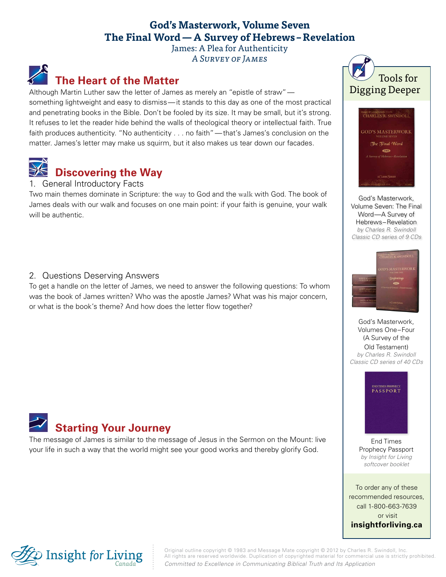### **God's Masterwork, Volume Seven The Final Word—A Survey of Hebrews –Revelation**

James: A Plea for Authenticity A Survey of James

# **The Heart of the Matter**

Although Martin Luther saw the letter of James as merely an "epistle of straw" something lightweight and easy to dismiss—it stands to this day as one of the most practical and penetrating books in the Bible. Don't be fooled by its size. It may be small, but it's strong. It refuses to let the reader hide behind the walls of theological theory or intellectual faith. True faith produces authenticity. "No authenticity . . . no faith"—that's James's conclusion on the matter. James's letter may make us squirm, but it also makes us tear down our facades.



## **Discovering the Way**

#### 1. General Introductory Facts

Two main themes dominate in Scripture: the way to God and the walk with God. The book of James deals with our walk and focuses on one main point: if your faith is genuine, your walk will be authentic.

#### 2. Questions Deserving Answers

To get a handle on the letter of James, we need to answer the following questions: To whom was the book of James written? Who was the apostle James? What was his major concern, or what is the book's theme? And how does the letter flow together?



The message of James is similar to the message of Jesus in the Sermon on the Mount: live your life in such a way that the world might see your good works and thereby glorify God.





God's Masterwork, [Volume Seven: The Final](http://store.insightforliving.ca/product-info.php?gm7dng_gods_masterwork_volume_seven-pid2178.html)  Word—A Survey of Hebrews–Revelation *by Charles R. Swindoll Classic CD series of 9 CDs*



God's Masterwork, Volumes One–Four (A Survey of the Old Testament) *by Charles R. Swindoll [Classic CD series of 40 CDs](http://store.insightforliving.ca/product-info.php?gmw4dst_gods_masterwork-pid2110.html)*



End Times [Prophecy Passport](http://store.insightforliving.ca/product-info.php?etppp_end_times_prophecy_passport-pid1905.html)  *by Insight for Living softcover booklet*

To order any of these recommended resources, call 1-800-663-7639 or visit **[insightforliving.ca](http://www.insightforliving.ca/)**



Original outline copyright © 1983 and Message Mate copyright © 2012 by Charles R. Swindoll, Inc. All rights are reserved worldwide. Duplication of copyrighted material for commercial use is strictly prohibited. *Committed to Excellence in Communicating Biblical Truth and Its Application*